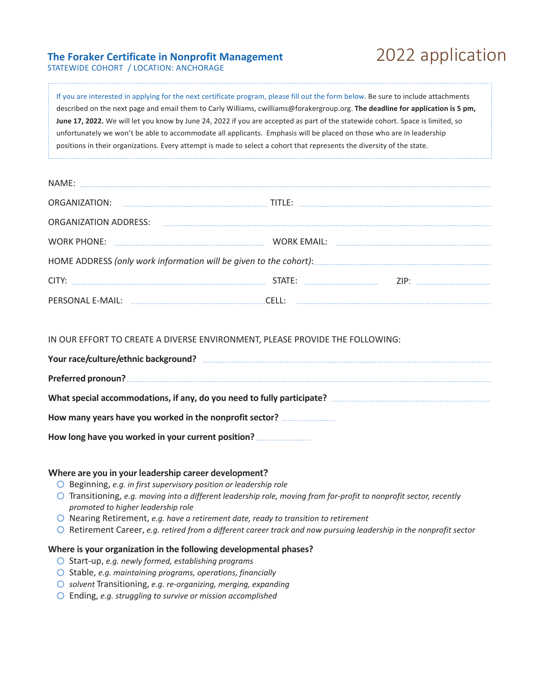# **The Foraker Certificate in Nonprofit Management** 2022 application

STATEWIDE COHORT / LOCATION: ANCHORAGE

| If you are interested in applying for the next certificate program, please fill out the form below. Be sure to include attachments |
|------------------------------------------------------------------------------------------------------------------------------------|
| described on the next page and email them to Carly Williams, cwilliams@forakergroup.org. The deadline for application is 5 pm,     |
| June 17, 2022. We will let you know by June 24, 2022 if you are accepted as part of the statewide cohort. Space is limited, so     |
| unfortunately we won't be able to accommodate all applicants. Emphasis will be placed on those who are in leadership               |
| positions in their organizations. Every attempt is made to select a cohort that represents the diversity of the state.             |
|                                                                                                                                    |

| NAME:                                                                                                                                    |  |  |  |
|------------------------------------------------------------------------------------------------------------------------------------------|--|--|--|
|                                                                                                                                          |  |  |  |
| ORGANIZATION ADDRESS: New York CONSTRUCTION ORGANIZATION                                                                                 |  |  |  |
|                                                                                                                                          |  |  |  |
| HOME ADDRESS (only work information will be given to the cohort): [11] HOME ADDRESS (only work information will be given to the cohort): |  |  |  |
|                                                                                                                                          |  |  |  |
| PERSONAL E-MAIL:                                                                                                                         |  |  |  |

IN OUR EFFORT TO CREATE A DIVERSE ENVIRONMENT, PLEASE PROVIDE THE FOLLOWING:

| Your race/culture/ethnic background?                    |
|---------------------------------------------------------|
|                                                         |
|                                                         |
| How many years have you worked in the nonprofit sector? |
| How long have you worked in your current position?      |

### **Where are you in your leadership career development?**

- Beginning, *e.g. in first supervisory position or leadership role*
- Transitioning, *e.g. moving into a different leadership role, moving from for-profit to nonprofit sector, recently promoted to higher leadership role*
- Nearing Retirement, *e.g. have a retirement date, ready to transition to retirement*
- Retirement Career, *e.g. retired from a different career track and now pursuing leadership in the nonprofit sector*

#### **Where is your organization in the following developmental phases?**

- Start-up, *e.g. newly formed, establishing programs*
- Stable, *e.g. maintaining programs, operations, financially*
- *solvent* Transitioning, *e.g. re-organizing, merging, expanding*
- Ending, *e.g. struggling to survive or mission accomplished*